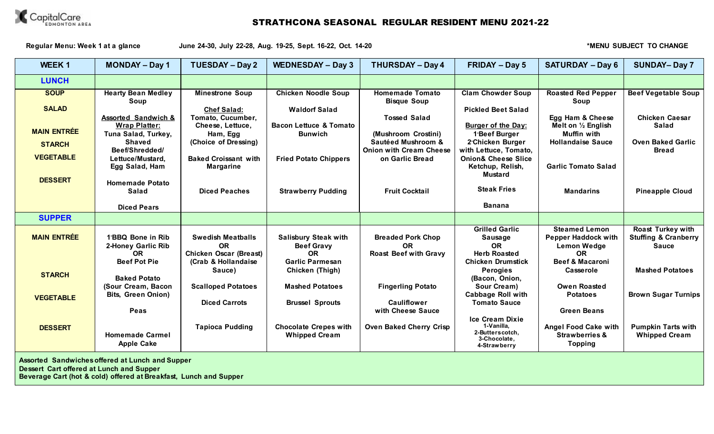

**Regular Menu: Week 1 at a glance June 24-30, July 22-28, Aug. 19-25, Sept. 16-22, Oct. 14-20 \*MENU SUBJECT TO CHANGE**

| <b>WEEK1</b>       | <b>MONDAY - Day 1</b>                            | <b>TUESDAY - Day 2</b>        | <b>WEDNESDAY - Day 3</b>          | <b>THURSDAY - Day 4</b>                              | <b>FRIDAY - Day 5</b>                                  | <b>SATURDAY - Day 6</b>                 | <b>SUNDAY-Day 7</b>             |
|--------------------|--------------------------------------------------|-------------------------------|-----------------------------------|------------------------------------------------------|--------------------------------------------------------|-----------------------------------------|---------------------------------|
| <b>LUNCH</b>       |                                                  |                               |                                   |                                                      |                                                        |                                         |                                 |
| <b>SOUP</b>        | <b>Hearty Bean Medley</b>                        | <b>Minestrone Soup</b>        | <b>Chicken Noodle Soup</b>        | <b>Homemade Tomato</b>                               | <b>Clam Chowder Soup</b>                               | <b>Roasted Red Pepper</b>               | <b>Beef Vegetable Soup</b>      |
|                    | Soup                                             |                               |                                   | <b>Bisque Soup</b>                                   |                                                        | Soup                                    |                                 |
| <b>SALAD</b>       |                                                  | <b>Chef Salad:</b>            | <b>Waldorf Salad</b>              |                                                      | <b>Pickled Beet Salad</b>                              |                                         |                                 |
|                    | <b>Assorted Sandwich &amp;</b>                   | Tomato, Cucumber,             |                                   | <b>Tossed Salad</b>                                  |                                                        | Egg Ham & Cheese                        | <b>Chicken Caesar</b>           |
| <b>MAIN ENTRÉE</b> | <b>Wrap Platter:</b>                             | Cheese, Lettuce,              | <b>Bacon Lettuce &amp; Tomato</b> |                                                      | <b>Burger of the Day:</b>                              | Melt on $\frac{1}{2}$ English           | Salad                           |
|                    | Tuna Salad, Turkey,                              | Ham, Egg                      | <b>Bunwich</b>                    | (Mushroom Crostini)<br><b>Sautéed Mushroom &amp;</b> | 1 <sup>-</sup> Beef Burger                             | <b>Muffin with</b>                      | <b>Oven Baked Garlic</b>        |
| <b>STARCH</b>      | <b>Shaved</b><br>Beef/Shredded/                  | (Choice of Dressing)          |                                   | <b>Onion with Cream Cheese</b>                       | 2 <sup>-</sup> Chicken Burger<br>with Lettuce, Tomato, | <b>Hollandaise Sauce</b>                | <b>Bread</b>                    |
| <b>VEGETABLE</b>   | Lettuce/Mustard,                                 | <b>Baked Croissant with</b>   | <b>Fried Potato Chippers</b>      | on Garlic Bread                                      | <b>Onion&amp; Cheese Slice</b>                         |                                         |                                 |
|                    | Egg Salad, Ham                                   | <b>Margarine</b>              |                                   |                                                      | Ketchup, Relish,                                       | <b>Garlic Tomato Salad</b>              |                                 |
|                    |                                                  |                               |                                   |                                                      | <b>Mustard</b>                                         |                                         |                                 |
| <b>DESSERT</b>     | <b>Homemade Potato</b>                           |                               |                                   |                                                      |                                                        |                                         |                                 |
|                    | <b>Salad</b>                                     | <b>Diced Peaches</b>          | <b>Strawberry Pudding</b>         | <b>Fruit Cocktail</b>                                | <b>Steak Fries</b>                                     | <b>Mandarins</b>                        | <b>Pineapple Cloud</b>          |
|                    |                                                  |                               |                                   |                                                      |                                                        |                                         |                                 |
|                    | <b>Diced Pears</b>                               |                               |                                   |                                                      | <b>Banana</b>                                          |                                         |                                 |
| <b>SUPPER</b>      |                                                  |                               |                                   |                                                      |                                                        |                                         |                                 |
|                    |                                                  |                               |                                   |                                                      | <b>Grilled Garlic</b>                                  | <b>Steamed Lemon</b>                    | <b>Roast Turkey with</b>        |
| <b>MAIN ENTRÉE</b> | 1 <sup>-</sup> BBQ Bone in Rib                   | <b>Swedish Meatballs</b>      | <b>Salisbury Steak with</b>       | <b>Breaded Pork Chop</b>                             | Sausage                                                | <b>Pepper Haddock with</b>              | <b>Stuffing &amp; Cranberry</b> |
|                    | 2-Honey Garlic Rib                               | <b>OR</b>                     | <b>Beef Gravy</b>                 | <b>OR</b>                                            | <b>OR</b>                                              | <b>Lemon Wedge</b>                      | <b>Sauce</b>                    |
|                    | <b>OR</b><br><b>Beef Pot Pie</b>                 | <b>Chicken Oscar (Breast)</b> | <b>OR</b>                         | <b>Roast Beef with Gravy</b>                         | <b>Herb Roasted</b>                                    | <b>OR</b><br><b>Beef &amp; Macaroni</b> |                                 |
|                    |                                                  | (Crab & Hollandaise)          | <b>Garlic Parmesan</b>            |                                                      | <b>Chicken Drumstick</b>                               |                                         | <b>Mashed Potatoes</b>          |
| <b>STARCH</b>      | <b>Baked Potato</b>                              | Sauce)                        | Chicken (Thigh)                   |                                                      | <b>Perogies</b><br>(Bacon, Onion,                      | Casserole                               |                                 |
|                    | (Sour Cream, Bacon                               | <b>Scalloped Potatoes</b>     | <b>Mashed Potatoes</b>            | <b>Fingerling Potato</b>                             | Sour Cream)                                            | <b>Owen Roasted</b>                     |                                 |
|                    | <b>Bits, Green Onion)</b>                        |                               |                                   |                                                      | <b>Cabbage Roll with</b>                               | <b>Potatoes</b>                         | <b>Brown Sugar Turnips</b>      |
| <b>VEGETABLE</b>   |                                                  | <b>Diced Carrots</b>          | <b>Brussel Sprouts</b>            | <b>Cauliflower</b>                                   | <b>Tomato Sauce</b>                                    |                                         |                                 |
|                    | Peas                                             |                               |                                   | with Cheese Sauce                                    |                                                        | <b>Green Beans</b>                      |                                 |
|                    |                                                  |                               |                                   |                                                      | Ice Cream Dixie                                        |                                         |                                 |
| <b>DESSERT</b>     |                                                  | <b>Tapioca Pudding</b>        | <b>Chocolate Crepes with</b>      | <b>Oven Baked Cherry Crisp</b>                       | 1-Vanilla.                                             | Angel Food Cake with                    | <b>Pumpkin Tarts with</b>       |
|                    | <b>Homemade Carmel</b>                           |                               | <b>Whipped Cream</b>              |                                                      | 2-Butterscotch,<br>3-Chocolate,                        | <b>Strawberries &amp;</b>               | <b>Whipped Cream</b>            |
|                    | <b>Apple Cake</b>                                |                               |                                   |                                                      | 4-Strawberry                                           | <b>Topping</b>                          |                                 |
|                    | Accorded Conducionso offered of Lungh and Cunner |                               |                                   |                                                      |                                                        |                                         |                                 |

**Assorted Sandwiches offered at Lunch and Supper**

**Dessert Cart offered at Lunch and Supper**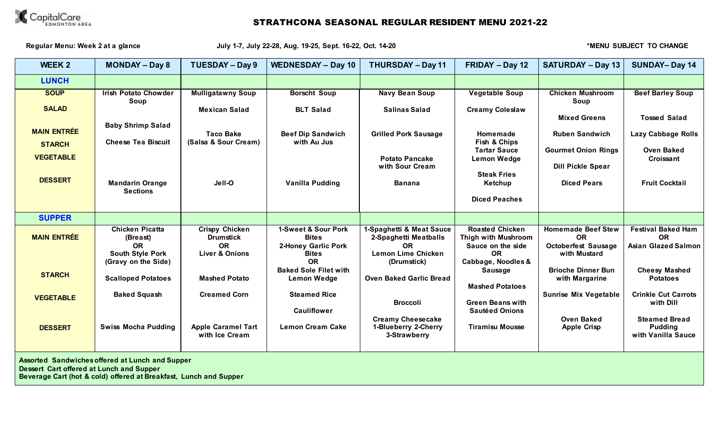

Regular Menu: Week 2 at a glance **July 1-7, July 22-28, Aug. 19-25, Sept. 16-22, Oct. 14-20 \*MENU SUBJECT TO CHANGE** 

| <b>WEEK 2</b>                                          | <b>MONDAY - Day 8</b>                           | <b>TUESDAY - Day 9</b>                                 | <b>WEDNESDAY - Day 10</b>                               | <b>THURSDAY - Day 11</b>                                       | FRIDAY - Day 12                                                    | <b>SATURDAY - Day 13</b>                               | <b>SUNDAY-Day 14</b>                    |  |
|--------------------------------------------------------|-------------------------------------------------|--------------------------------------------------------|---------------------------------------------------------|----------------------------------------------------------------|--------------------------------------------------------------------|--------------------------------------------------------|-----------------------------------------|--|
| <b>LUNCH</b>                                           |                                                 |                                                        |                                                         |                                                                |                                                                    |                                                        |                                         |  |
| <b>SOUP</b>                                            | <b>Irish Potato Chowder</b><br>Soup             | <b>Mulligatawny Soup</b>                               | <b>Borscht Soup</b>                                     | Navy Bean Soup                                                 | <b>Vegetable Soup</b>                                              | <b>Chicken Mushroom</b><br>Soup                        | <b>Beef Barley Soup</b>                 |  |
| <b>SALAD</b>                                           |                                                 | <b>Mexican Salad</b>                                   | <b>BLT Salad</b>                                        | <b>Salinas Salad</b>                                           | <b>Creamy Coleslaw</b>                                             | <b>Mixed Greens</b>                                    | <b>Tossed Salad</b>                     |  |
| <b>MAIN ENTRÉE</b>                                     | <b>Baby Shrimp Salad</b>                        | <b>Taco Bake</b>                                       | <b>Beef Dip Sandwich</b>                                | <b>Grilled Pork Sausage</b>                                    | Homemade                                                           | <b>Ruben Sandwich</b>                                  | Lazy Cabbage Rolls                      |  |
| <b>STARCH</b>                                          | <b>Cheese Tea Biscuit</b>                       | (Salsa & Sour Cream)                                   | with Au Jus                                             |                                                                | Fish & Chips                                                       |                                                        |                                         |  |
| <b>VEGETABLE</b>                                       |                                                 |                                                        |                                                         | <b>Potato Pancake</b><br>with Sour Cream                       | <b>Tartar Sauce</b><br><b>Lemon Wedge</b>                          | <b>Gourmet Onion Rings</b><br><b>Dill Pickle Spear</b> | <b>Oven Baked</b><br>Croissant          |  |
| <b>DESSERT</b>                                         | <b>Mandarin Orange</b><br><b>Sections</b>       | Jell-O                                                 | <b>Vanilla Pudding</b>                                  | <b>Banana</b>                                                  | <b>Steak Fries</b><br>Ketchup                                      | <b>Diced Pears</b>                                     | <b>Fruit Cocktail</b>                   |  |
|                                                        |                                                 |                                                        |                                                         |                                                                | <b>Diced Peaches</b>                                               |                                                        |                                         |  |
| <b>SUPPER</b>                                          |                                                 |                                                        |                                                         |                                                                |                                                                    |                                                        |                                         |  |
| <b>MAIN ENTRÉE</b>                                     | <b>Chicken Picatta</b><br>(Breast)<br><b>OR</b> | <b>Crispy Chicken</b><br><b>Drumstick</b><br><b>OR</b> | 1-Sweet & Sour Pork<br><b>Bites</b>                     | 1-Spaghetti & Meat Sauce<br>2-Spaghetti Meatballs<br><b>OR</b> | <b>Roasted Chicken</b><br>Thigh with Mushroom<br>Sauce on the side | <b>Homemade Beef Stew</b><br><b>OR</b>                 | <b>Festival Baked Ham</b><br><b>OR</b>  |  |
|                                                        | <b>South Style Pork</b><br>(Gravy on the Side)  | <b>Liver &amp; Onions</b>                              | <b>2-Honey Garlic Pork</b><br><b>Bites</b><br><b>OR</b> | <b>Lemon Lime Chicken</b><br>(Drumstick)                       | <b>OR</b><br>Cabbage, Noodles &                                    | <b>Octoberfest Sausage</b><br>with Mustard             | <b>Asian Glazed Salmon</b>              |  |
| <b>STARCH</b>                                          | <b>Scalloped Potatoes</b>                       | <b>Mashed Potato</b>                                   | <b>Baked Sole Filet with</b><br><b>Lemon Wedge</b>      | <b>Oven Baked Garlic Bread</b>                                 | Sausage                                                            | <b>Brioche Dinner Bun</b><br>with Margarine            | <b>Cheesy Mashed</b><br><b>Potatoes</b> |  |
| <b>VEGETABLE</b>                                       | <b>Baked Squash</b>                             | <b>Creamed Corn</b>                                    | <b>Steamed Rice</b>                                     | <b>Broccoli</b>                                                | <b>Mashed Potatoes</b><br><b>Green Beans with</b>                  | <b>Sunrise Mix Vegetable</b>                           | <b>Crinkle Cut Carrots</b><br>with Dill |  |
|                                                        |                                                 |                                                        | <b>Cauliflower</b>                                      | <b>Creamy Cheesecake</b>                                       | <b>Sautéed Onions</b>                                              | <b>Oven Baked</b>                                      | <b>Steamed Bread</b>                    |  |
| <b>DESSERT</b>                                         | <b>Swiss Mocha Pudding</b>                      | <b>Apple Caramel Tart</b><br>with Ice Cream            | <b>Lemon Cream Cake</b>                                 | 1-Blueberry 2-Cherry<br>3-Strawberry                           | <b>Tiramisu Mousse</b>                                             | <b>Apple Crisp</b>                                     | <b>Pudding</b><br>with Vanilla Sauce    |  |
| <b>Assorted Sandwiches offered at Lunch and Supper</b> |                                                 |                                                        |                                                         |                                                                |                                                                    |                                                        |                                         |  |

**Dessert Cart offered at Lunch and Supper**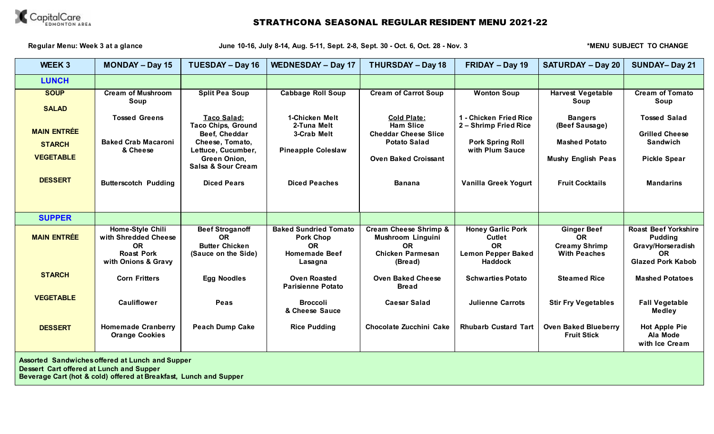

Regular Menu: Week 3 at a glance **State 10-16, July 8-14, Aug. 5-11, Sept. 2-8, Sept. 30 - Oct. 6, Oct. 28 - Nov. 3** *\*MENU SUBJECT TO CHANGE* 

| WEEK 3                                                  | <b>MONDAY - Day 15</b>                                                                            | <b>TUESDAY - Day 16</b>                                                                                                                         | <b>WEDNESDAY - Day 17</b>                                                                        | <b>THURSDAY - Day 18</b>                                                                                                    | FRIDAY - Day 19                                                                                       | <b>SATURDAY - Day 20</b>                                                              | <b>SUNDAY-Day 21</b>                                                                                        |
|---------------------------------------------------------|---------------------------------------------------------------------------------------------------|-------------------------------------------------------------------------------------------------------------------------------------------------|--------------------------------------------------------------------------------------------------|-----------------------------------------------------------------------------------------------------------------------------|-------------------------------------------------------------------------------------------------------|---------------------------------------------------------------------------------------|-------------------------------------------------------------------------------------------------------------|
| <b>LUNCH</b>                                            |                                                                                                   |                                                                                                                                                 |                                                                                                  |                                                                                                                             |                                                                                                       |                                                                                       |                                                                                                             |
| <b>SOUP</b><br><b>SALAD</b>                             | <b>Cream of Mushroom</b><br>Soup                                                                  | <b>Split Pea Soup</b>                                                                                                                           | <b>Cabbage Roll Soup</b>                                                                         | <b>Cream of Carrot Soup</b>                                                                                                 | <b>Wonton Soup</b>                                                                                    | <b>Harvest Vegetable</b><br>Soup                                                      | <b>Cream of Tomato</b><br>Soup                                                                              |
| <b>MAIN ENTRÉE</b><br><b>STARCH</b><br><b>VEGETABLE</b> | <b>Tossed Greens</b><br><b>Baked Crab Macaroni</b><br>& Cheese                                    | <b>Taco Salad:</b><br><b>Taco Chips, Ground</b><br>Beef, Cheddar<br>Cheese, Tomato,<br>Lettuce, Cucumber,<br>Green Onion,<br>Salsa & Sour Cream | 1-Chicken Melt<br>2-Tuna Melt<br>3-Crab Melt<br><b>Pineapple Coleslaw</b>                        | <b>Cold Plate:</b><br><b>Ham Slice</b><br><b>Cheddar Cheese Slice</b><br><b>Potato Salad</b><br><b>Oven Baked Croissant</b> | 1 - Chicken Fried Rice<br>2 - Shrimp Fried Rice<br><b>Pork Spring Roll</b><br>with Plum Sauce         | <b>Bangers</b><br>(Beef Sausage)<br><b>Mashed Potato</b><br><b>Mushy English Peas</b> | <b>Tossed Salad</b><br><b>Grilled Cheese</b><br>Sandwich<br><b>Pickle Spear</b>                             |
| <b>DESSERT</b>                                          | <b>Butterscotch Pudding</b>                                                                       | <b>Diced Pears</b>                                                                                                                              | <b>Diced Peaches</b>                                                                             | <b>Banana</b>                                                                                                               | Vanilla Greek Yogurt                                                                                  | <b>Fruit Cocktails</b>                                                                | <b>Mandarins</b>                                                                                            |
| <b>SUPPER</b>                                           |                                                                                                   |                                                                                                                                                 |                                                                                                  |                                                                                                                             |                                                                                                       |                                                                                       |                                                                                                             |
| <b>MAIN ENTRÉE</b>                                      | Home-Style Chili<br>with Shredded Cheese<br><b>OR</b><br><b>Roast Pork</b><br>with Onions & Gravy | <b>Beef Stroganoff</b><br><b>OR</b><br><b>Butter Chicken</b><br>(Sauce on the Side)                                                             | <b>Baked Sundried Tomato</b><br><b>Pork Chop</b><br><b>OR</b><br><b>Homemade Beef</b><br>Lasagna | <b>Cream Cheese Shrimp &amp;</b><br>Mushroom Linguini<br><b>OR</b><br><b>Chicken Parmesan</b><br>(Bread)                    | <b>Honey Garlic Pork</b><br><b>Cutlet</b><br><b>OR</b><br><b>Lemon Pepper Baked</b><br><b>Haddock</b> | <b>Ginger Beef</b><br><b>OR</b><br><b>Creamy Shrimp</b><br><b>With Peaches</b>        | <b>Roast Beef Yorkshire</b><br><b>Pudding</b><br>Gravy/Horseradish<br><b>OR</b><br><b>Glazed Pork Kabob</b> |
| <b>STARCH</b>                                           | <b>Corn Fritters</b>                                                                              | <b>Egg Noodles</b>                                                                                                                              | <b>Oven Roasted</b><br><b>Parisienne Potato</b>                                                  | <b>Oven Baked Cheese</b><br><b>Bread</b>                                                                                    | <b>Schwarties Potato</b>                                                                              | <b>Steamed Rice</b>                                                                   | <b>Mashed Potatoes</b>                                                                                      |
| <b>VEGETABLE</b>                                        | <b>Cauliflower</b>                                                                                | Peas                                                                                                                                            | <b>Broccoli</b><br>& Cheese Sauce                                                                | <b>Caesar Salad</b>                                                                                                         | <b>Julienne Carrots</b>                                                                               | <b>Stir Fry Vegetables</b>                                                            | <b>Fall Vegetable</b><br><b>Medley</b>                                                                      |
| <b>DESSERT</b>                                          | <b>Homemade Cranberry</b><br><b>Orange Cookies</b>                                                | <b>Peach Dump Cake</b>                                                                                                                          | <b>Rice Pudding</b>                                                                              | Chocolate Zucchini Cake                                                                                                     | <b>Rhubarb Custard Tart</b>                                                                           | <b>Oven Baked Blueberry</b><br><b>Fruit Stick</b>                                     | <b>Hot Apple Pie</b><br>Ala Mode<br>with Ice Cream                                                          |

**Assorted Sandwiches offered at Lunch and Supper**

**Dessert Cart offered at Lunch and Supper**